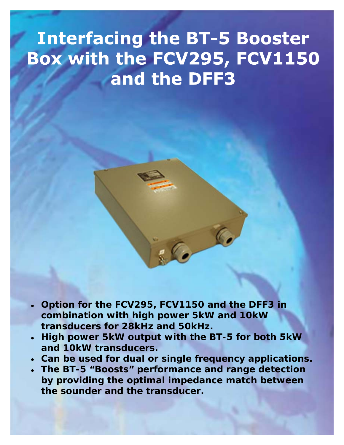## **Interfacing the BT-5 Booster** Box with the FCV295, FCV1150 and the DFF3

- 
- **Option for the FCV295, FCV1150 and the DFF3 in combination with high power 5kW and 10kW transducers for 28kHz and 50kHz.**
- **High power 5kW output with the BT-5 for both 5kW and 10kW transducers.**
- **Can be used for dual or single frequency applications.**
- **The BT-5 "Boosts" performance and range detection by providing the optimal impedance match between the sounder and the transducer.**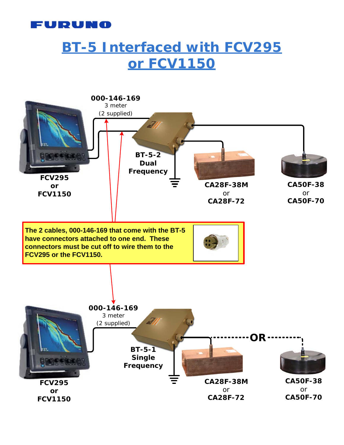

## **BT-5 Interfaced with FCV295 or FCV1150**

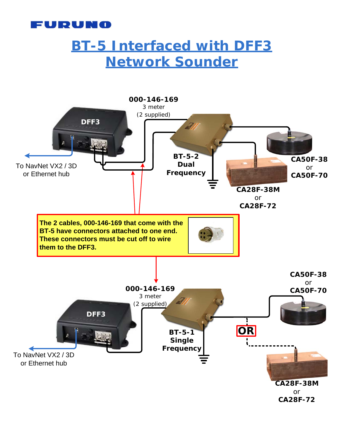

## **BT-5 Interfaced with DFF3 Network Sounder**